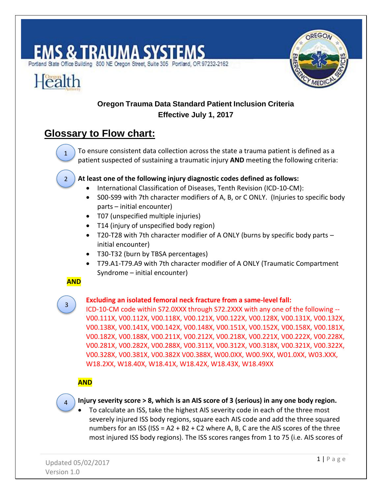# S & TRAUMA SYSTEMS

Portland State Office Building 800 NE Oregon Street, Suite 305 Portland, OR 97232-2162



# **Oregon Trauma Data Standard Patient Inclusion Criteria Effective July 1, 2017**

# **Glossary to Flow chart:**

**1)** To ensure consistent data collection across the state a trauma patient is defined as a patient suspected of sustaining a traumatic injury **AND** meeting the following criteria:

### **2) At least one of the following injury diagnostic codes defined as follows:**

- International Classification of Diseases, Tenth Revision (ICD-10-CM):
- S00-S99 with 7th character modifiers of A, B, or C ONLY. (Injuries to specific body parts – initial encounter)
- T07 (unspecified multiple injuries)
- T14 (injury of unspecified body region)
- T20-T28 with 7th character modifier of A ONLY (burns by specific body parts initial encounter)
- T30-T32 (burn by TBSA percentages)
- T79.A1-T79.A9 with 7th character modifier of A ONLY (Traumatic Compartment Syndrome – initial encounter)

## **AND**

1

Health

2

# 3

## **Excluding an isolated femoral neck fracture from a same-level fall:**

ICD-10-CM code within S72.0XXX through S72.2XXX with any one of the following -- V00.111X, V00.112X, V00.118X, V00.121X, V00.122X, V00.128X, V00.131X, V00.132X, V00.138X, V00.141X, V00.142X, V00.148X, V00.151X, V00.152X, V00.158X, V00.181X, V00.182X, V00.188X, V00.211X, V00.212X, V00.218X, V00.221X, V00.222X, V00.228X, V00.281X, V00.282X, V00.288X, V00.311X, V00.312X, V00.318X, V00.321X, V00.322X, V00.328X, V00.381X, V00.382X V00.388X, W00.0XX, W00.9XX, W01.0XX, W03.XXX, W18.2XX, W18.40X, W18.41X, W18.42X, W18.43X, W18.49XX

## **AND**



**3) Injury severity score > 8, which is an AIS score of 3 (serious) in any one body region.**

 To calculate an ISS, take the highest AIS severity code in each of the three most severely injured ISS body regions, square each AIS code and add the three squared numbers for an ISS (ISS =  $A2 + B2 + C2$  where A, B, C are the AIS scores of the three most injured ISS body regions). The ISS scores ranges from 1 to 75 (i.e. AIS scores of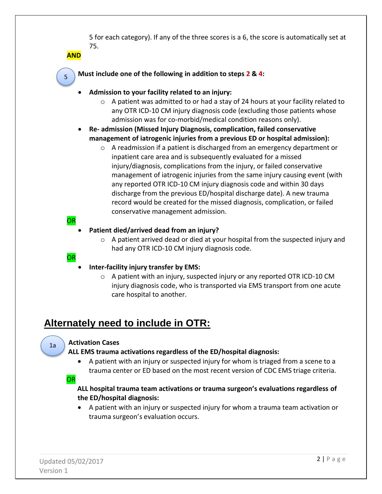5 for each category). If any of the three scores is a 6, the score is automatically set at 75.

**AND**

5 5

#### **4) Must include one of the following in addition to steps 2 & 4:**

- **Admission to your facility related to an injury:**
	- $\circ$  A patient was admitted to or had a stay of 24 hours at your facility related to any OTR ICD-10 CM injury diagnosis code (excluding those patients whose admission was for co-morbid/medical condition reasons only).
- **Re- admission (Missed Injury Diagnosis, complication, failed conservative management of iatrogenic injuries from a previous ED or hospital admission):**
	- $\circ$  A readmission if a patient is discharged from an emergency department or inpatient care area and is subsequently evaluated for a missed injury/diagnosis, complications from the injury, or failed conservative management of iatrogenic injuries from the same injury causing event (with any reported OTR ICD-10 CM injury diagnosis code and within 30 days discharge from the previous ED/hospital discharge date). A new trauma record would be created for the missed diagnosis, complication, or failed conservative management admission.
- OR

#### **Patient died/arrived dead from an injury?**

- $\circ$  A patient arrived dead or died at your hospital from the suspected injury and had any OTR ICD-10 CM injury diagnosis code.
- **OR**
- **Inter-facility injury transfer by EMS:**
	- $\circ$  A patient with an injury, suspected injury or any reported OTR ICD-10 CM injury diagnosis code, who is transported via EMS transport from one acute care hospital to another.

## **Alternately need to include in OTR:**

#### **Activation Cases**

**ALL EMS trauma activations regardless of the ED/hospital diagnosis:**

 A patient with an injury or suspected injury for whom is triaged from a scene to a trauma center or ED based on the most recent version of CDC EMS triage criteria.

OR

1a a

#### **ALL hospital trauma team activations or trauma surgeon's evaluations regardless of the ED/hospital diagnosis:**

 A patient with an injury or suspected injury for whom a trauma team activation or trauma surgeon's evaluation occurs.